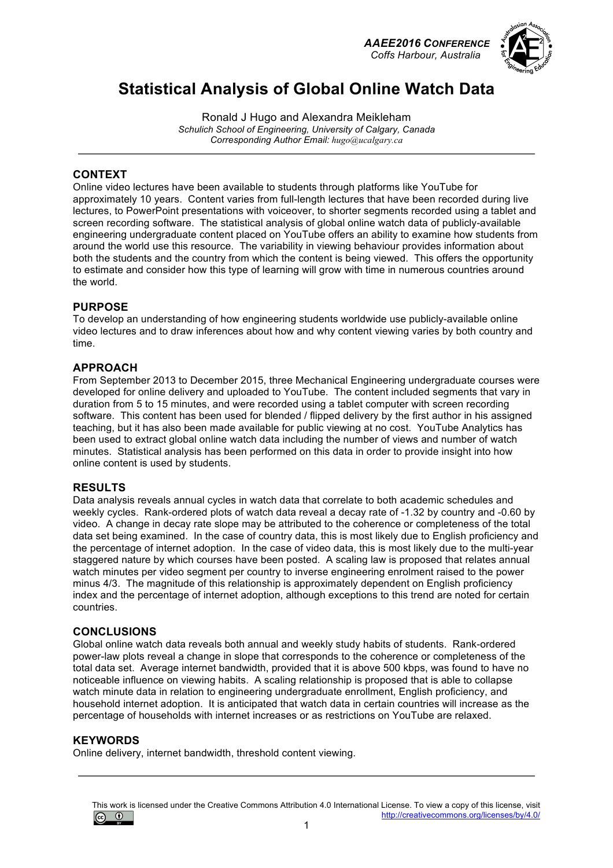*AAEE2016 CONFERENCE Coffs Harbour, Australia*



# **Statistical Analysis of Global Online Watch Data**

Ronald J Hugo and Alexandra Meikleham *Schulich School of Engineering, University of Calgary, Canada Corresponding Author Email: hugo@ucalgary.ca*

## **CONTEXT**

Online video lectures have been available to students through platforms like YouTube for approximately 10 years. Content varies from full-length lectures that have been recorded during live lectures, to PowerPoint presentations with voiceover, to shorter segments recorded using a tablet and screen recording software. The statistical analysis of global online watch data of publicly-available engineering undergraduate content placed on YouTube offers an ability to examine how students from around the world use this resource. The variability in viewing behaviour provides information about both the students and the country from which the content is being viewed. This offers the opportunity to estimate and consider how this type of learning will grow with time in numerous countries around the world.

#### **PURPOSE**

To develop an understanding of how engineering students worldwide use publicly-available online video lectures and to draw inferences about how and why content viewing varies by both country and time.

#### **APPROACH**

From September 2013 to December 2015, three Mechanical Engineering undergraduate courses were developed for online delivery and uploaded to YouTube. The content included segments that vary in duration from 5 to 15 minutes, and were recorded using a tablet computer with screen recording software. This content has been used for blended / flipped delivery by the first author in his assigned teaching, but it has also been made available for public viewing at no cost. YouTube Analytics has been used to extract global online watch data including the number of views and number of watch minutes. Statistical analysis has been performed on this data in order to provide insight into how online content is used by students.

#### **RESULTS**

Data analysis reveals annual cycles in watch data that correlate to both academic schedules and weekly cycles. Rank-ordered plots of watch data reveal a decay rate of -1.32 by country and -0.60 by video. A change in decay rate slope may be attributed to the coherence or completeness of the total data set being examined. In the case of country data, this is most likely due to English proficiency and the percentage of internet adoption. In the case of video data, this is most likely due to the multi-year staggered nature by which courses have been posted. A scaling law is proposed that relates annual watch minutes per video segment per country to inverse engineering enrolment raised to the power minus 4/3. The magnitude of this relationship is approximately dependent on English proficiency index and the percentage of internet adoption, although exceptions to this trend are noted for certain countries.

#### **CONCLUSIONS**

Global online watch data reveals both annual and weekly study habits of students. Rank-ordered power-law plots reveal a change in slope that corresponds to the coherence or completeness of the total data set. Average internet bandwidth, provided that it is above 500 kbps, was found to have no noticeable influence on viewing habits. A scaling relationship is proposed that is able to collapse watch minute data in relation to engineering undergraduate enrollment, English proficiency, and household internet adoption. It is anticipated that watch data in certain countries will increase as the percentage of households with internet increases or as restrictions on YouTube are relaxed.

#### **KEYWORDS**

Online delivery, internet bandwidth, threshold content viewing.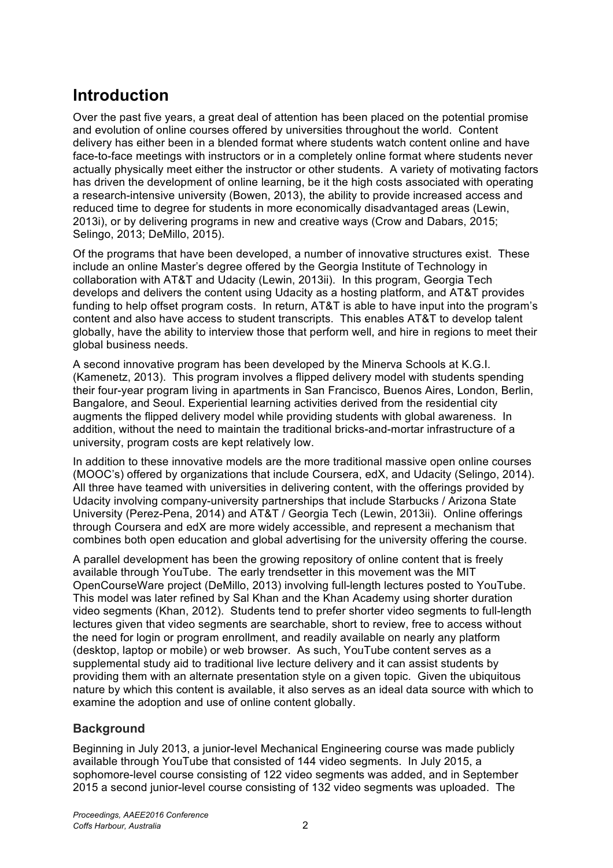# **Introduction**

Over the past five years, a great deal of attention has been placed on the potential promise and evolution of online courses offered by universities throughout the world. Content delivery has either been in a blended format where students watch content online and have face-to-face meetings with instructors or in a completely online format where students never actually physically meet either the instructor or other students. A variety of motivating factors has driven the development of online learning, be it the high costs associated with operating a research-intensive university (Bowen, 2013), the ability to provide increased access and reduced time to degree for students in more economically disadvantaged areas (Lewin, 2013i), or by delivering programs in new and creative ways (Crow and Dabars, 2015; Selingo, 2013; DeMillo, 2015).

Of the programs that have been developed, a number of innovative structures exist. These include an online Master's degree offered by the Georgia Institute of Technology in collaboration with AT&T and Udacity (Lewin, 2013ii). In this program, Georgia Tech develops and delivers the content using Udacity as a hosting platform, and AT&T provides funding to help offset program costs. In return, AT&T is able to have input into the program's content and also have access to student transcripts. This enables AT&T to develop talent globally, have the ability to interview those that perform well, and hire in regions to meet their global business needs.

A second innovative program has been developed by the Minerva Schools at K.G.I. (Kamenetz, 2013). This program involves a flipped delivery model with students spending their four-year program living in apartments in San Francisco, Buenos Aires, London, Berlin, Bangalore, and Seoul. Experiential learning activities derived from the residential city augments the flipped delivery model while providing students with global awareness. In addition, without the need to maintain the traditional bricks-and-mortar infrastructure of a university, program costs are kept relatively low.

In addition to these innovative models are the more traditional massive open online courses (MOOC's) offered by organizations that include Coursera, edX, and Udacity (Selingo, 2014). All three have teamed with universities in delivering content, with the offerings provided by Udacity involving company-university partnerships that include Starbucks / Arizona State University (Perez-Pena, 2014) and AT&T / Georgia Tech (Lewin, 2013ii). Online offerings through Coursera and edX are more widely accessible, and represent a mechanism that combines both open education and global advertising for the university offering the course.

A parallel development has been the growing repository of online content that is freely available through YouTube. The early trendsetter in this movement was the MIT OpenCourseWare project (DeMillo, 2013) involving full-length lectures posted to YouTube. This model was later refined by Sal Khan and the Khan Academy using shorter duration video segments (Khan, 2012). Students tend to prefer shorter video segments to full-length lectures given that video segments are searchable, short to review, free to access without the need for login or program enrollment, and readily available on nearly any platform (desktop, laptop or mobile) or web browser. As such, YouTube content serves as a supplemental study aid to traditional live lecture delivery and it can assist students by providing them with an alternate presentation style on a given topic. Given the ubiquitous nature by which this content is available, it also serves as an ideal data source with which to examine the adoption and use of online content globally.

# **Background**

Beginning in July 2013, a junior-level Mechanical Engineering course was made publicly available through YouTube that consisted of 144 video segments. In July 2015, a sophomore-level course consisting of 122 video segments was added, and in September 2015 a second junior-level course consisting of 132 video segments was uploaded. The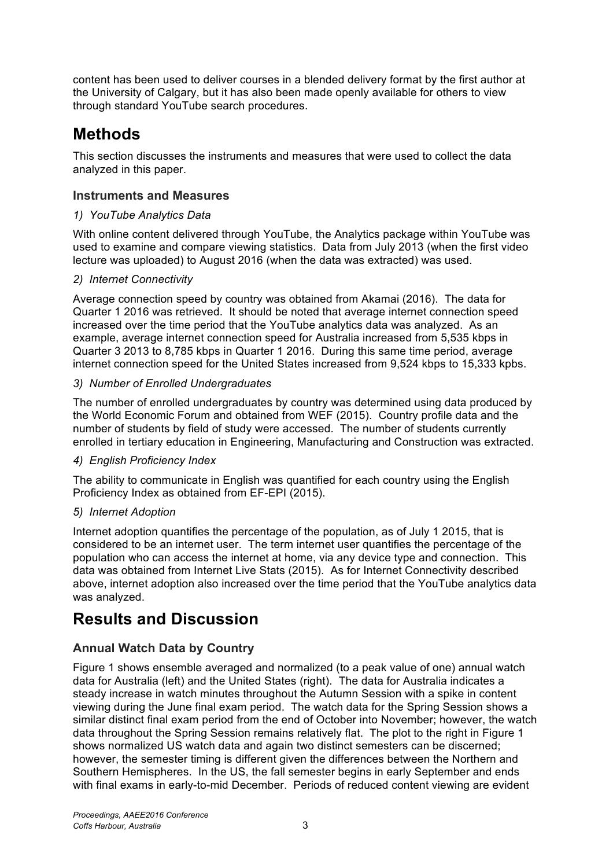content has been used to deliver courses in a blended delivery format by the first author at the University of Calgary, but it has also been made openly available for others to view through standard YouTube search procedures.

# **Methods**

This section discusses the instruments and measures that were used to collect the data analyzed in this paper.

# **Instruments and Measures**

## *1) YouTube Analytics Data*

With online content delivered through YouTube, the Analytics package within YouTube was used to examine and compare viewing statistics. Data from July 2013 (when the first video lecture was uploaded) to August 2016 (when the data was extracted) was used.

## *2) Internet Connectivity*

Average connection speed by country was obtained from Akamai (2016). The data for Quarter 1 2016 was retrieved. It should be noted that average internet connection speed increased over the time period that the YouTube analytics data was analyzed. As an example, average internet connection speed for Australia increased from 5,535 kbps in Quarter 3 2013 to 8,785 kbps in Quarter 1 2016. During this same time period, average internet connection speed for the United States increased from 9,524 kbps to 15,333 kpbs.

## *3) Number of Enrolled Undergraduates*

The number of enrolled undergraduates by country was determined using data produced by the World Economic Forum and obtained from WEF (2015). Country profile data and the number of students by field of study were accessed. The number of students currently enrolled in tertiary education in Engineering, Manufacturing and Construction was extracted.

## *4) English Proficiency Index*

The ability to communicate in English was quantified for each country using the English Proficiency Index as obtained from EF-EPI (2015).

## *5) Internet Adoption*

Internet adoption quantifies the percentage of the population, as of July 1 2015, that is considered to be an internet user. The term internet user quantifies the percentage of the population who can access the internet at home, via any device type and connection. This data was obtained from Internet Live Stats (2015). As for Internet Connectivity described above, internet adoption also increased over the time period that the YouTube analytics data was analyzed.

# **Results and Discussion**

# **Annual Watch Data by Country**

Figure 1 shows ensemble averaged and normalized (to a peak value of one) annual watch data for Australia (left) and the United States (right). The data for Australia indicates a steady increase in watch minutes throughout the Autumn Session with a spike in content viewing during the June final exam period. The watch data for the Spring Session shows a similar distinct final exam period from the end of October into November; however, the watch data throughout the Spring Session remains relatively flat. The plot to the right in Figure 1 shows normalized US watch data and again two distinct semesters can be discerned; however, the semester timing is different given the differences between the Northern and Southern Hemispheres. In the US, the fall semester begins in early September and ends with final exams in early-to-mid December. Periods of reduced content viewing are evident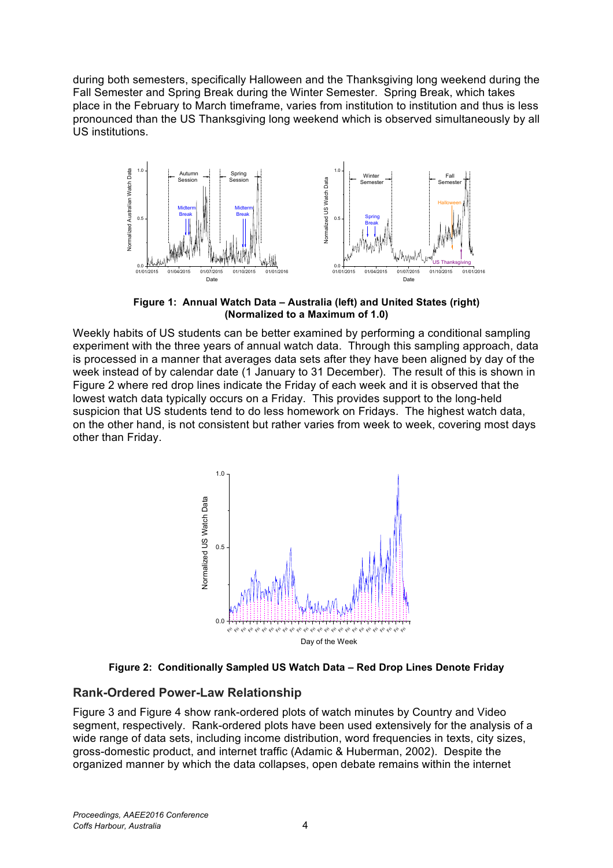during both semesters, specifically Halloween and the Thanksgiving long weekend during the Fall Semester and Spring Break during the Winter Semester. Spring Break, which takes place in the February to March timeframe, varies from institution to institution and thus is less pronounced than the US Thanksgiving long weekend which is observed simultaneously by all US institutions.



**Figure 1: Annual Watch Data – Australia (left) and United States (right) (Normalized to a Maximum of 1.0)**

Weekly habits of US students can be better examined by performing a conditional sampling experiment with the three years of annual watch data. Through this sampling approach, data is processed in a manner that averages data sets after they have been aligned by day of the week instead of by calendar date (1 January to 31 December). The result of this is shown in Figure 2 where red drop lines indicate the Friday of each week and it is observed that the lowest watch data typically occurs on a Friday. This provides support to the long-held suspicion that US students tend to do less homework on Fridays. The highest watch data, on the other hand, is not consistent but rather varies from week to week, covering most days other than Friday.



**Figure 2: Conditionally Sampled US Watch Data – Red Drop Lines Denote Friday**

#### **Rank-Ordered Power-Law Relationship**

Figure 3 and Figure 4 show rank-ordered plots of watch minutes by Country and Video segment, respectively. Rank-ordered plots have been used extensively for the analysis of a wide range of data sets, including income distribution, word frequencies in texts, city sizes, gross-domestic product, and internet traffic (Adamic & Huberman, 2002). Despite the organized manner by which the data collapses, open debate remains within the internet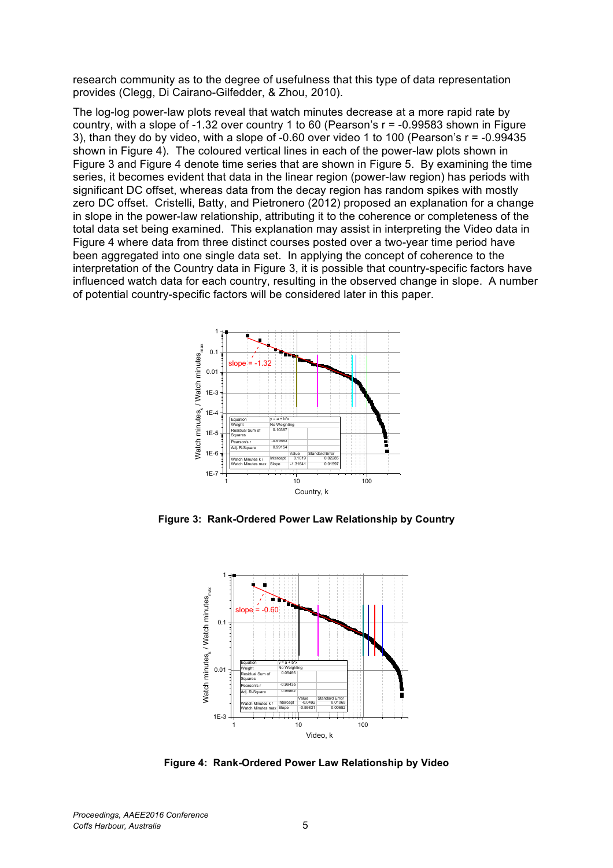research community as to the degree of usefulness that this type of data representation provides (Clegg, Di Cairano-Gilfedder, & Zhou, 2010).

The log-log power-law plots reveal that watch minutes decrease at a more rapid rate by country, with a slope of  $-1.32$  over country 1 to 60 (Pearson's  $r = -0.99583$  shown in Figure 3), than they do by video, with a slope of -0.60 over video 1 to 100 (Pearson's  $r = -0.99435$ shown in Figure 4). The coloured vertical lines in each of the power-law plots shown in Figure 3 and Figure 4 denote time series that are shown in Figure 5. By examining the time series, it becomes evident that data in the linear region (power-law region) has periods with significant DC offset, whereas data from the decay region has random spikes with mostly zero DC offset. Cristelli, Batty, and Pietronero (2012) proposed an explanation for a change in slope in the power-law relationship, attributing it to the coherence or completeness of the total data set being examined. This explanation may assist in interpreting the Video data in Figure 4 where data from three distinct courses posted over a two-year time period have been aggregated into one single data set. In applying the concept of coherence to the interpretation of the Country data in Figure 3, it is possible that country-specific factors have influenced watch data for each country, resulting in the observed change in slope. A number of potential country-specific factors will be considered later in this paper.



**Figure 3: Rank-Ordered Power Law Relationship by Country**



**Figure 4: Rank-Ordered Power Law Relationship by Video**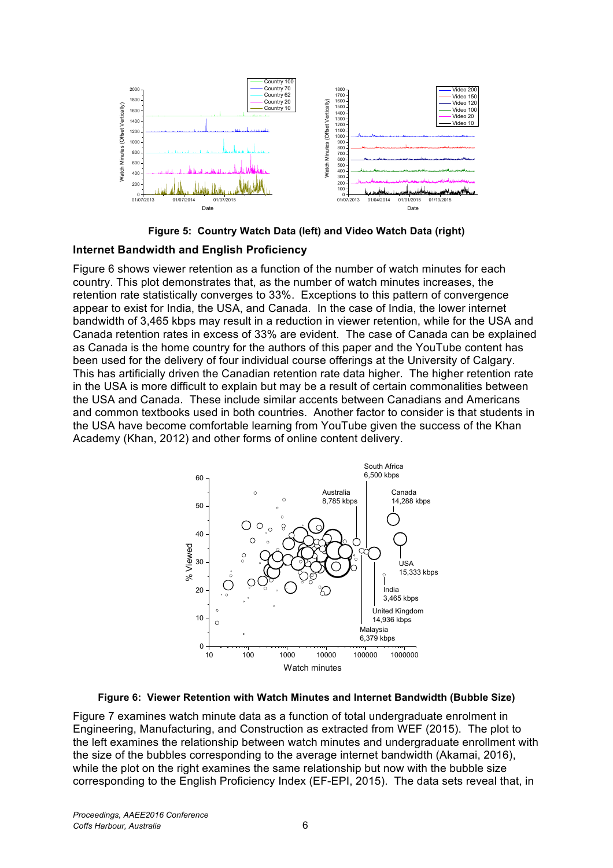

**Figure 5: Country Watch Data (left) and Video Watch Data (right)**

#### **Internet Bandwidth and English Proficiency**

Figure 6 shows viewer retention as a function of the number of watch minutes for each country. This plot demonstrates that, as the number of watch minutes increases, the retention rate statistically converges to 33%. Exceptions to this pattern of convergence appear to exist for India, the USA, and Canada. In the case of India, the lower internet bandwidth of 3,465 kbps may result in a reduction in viewer retention, while for the USA and Canada retention rates in excess of 33% are evident. The case of Canada can be explained as Canada is the home country for the authors of this paper and the YouTube content has been used for the delivery of four individual course offerings at the University of Calgary. This has artificially driven the Canadian retention rate data higher. The higher retention rate in the USA is more difficult to explain but may be a result of certain commonalities between the USA and Canada. These include similar accents between Canadians and Americans and common textbooks used in both countries. Another factor to consider is that students in the USA have become comfortable learning from YouTube given the success of the Khan Academy (Khan, 2012) and other forms of online content delivery.





Figure 7 examines watch minute data as a function of total undergraduate enrolment in Engineering, Manufacturing, and Construction as extracted from WEF (2015). The plot to the left examines the relationship between watch minutes and undergraduate enrollment with the size of the bubbles corresponding to the average internet bandwidth (Akamai, 2016), while the plot on the right examines the same relationship but now with the bubble size corresponding to the English Proficiency Index (EF-EPI, 2015). The data sets reveal that, in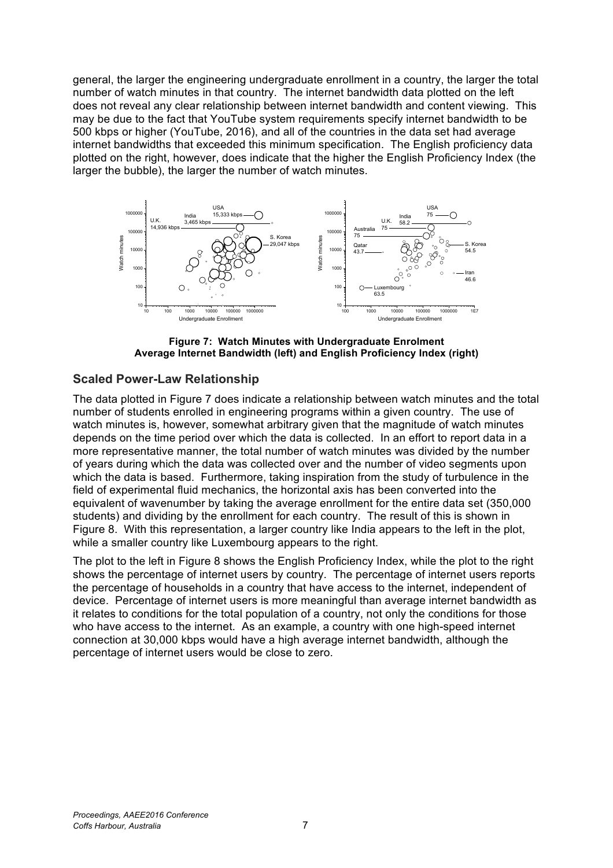general, the larger the engineering undergraduate enrollment in a country, the larger the total number of watch minutes in that country. The internet bandwidth data plotted on the left does not reveal any clear relationship between internet bandwidth and content viewing. This may be due to the fact that YouTube system requirements specify internet bandwidth to be 500 kbps or higher (YouTube, 2016), and all of the countries in the data set had average internet bandwidths that exceeded this minimum specification. The English proficiency data plotted on the right, however, does indicate that the higher the English Proficiency Index (the larger the bubble), the larger the number of watch minutes.



**Figure 7: Watch Minutes with Undergraduate Enrolment Average Internet Bandwidth (left) and English Proficiency Index (right)**

#### **Scaled Power-Law Relationship**

The data plotted in Figure 7 does indicate a relationship between watch minutes and the total number of students enrolled in engineering programs within a given country. The use of watch minutes is, however, somewhat arbitrary given that the magnitude of watch minutes depends on the time period over which the data is collected. In an effort to report data in a more representative manner, the total number of watch minutes was divided by the number of years during which the data was collected over and the number of video segments upon which the data is based. Furthermore, taking inspiration from the study of turbulence in the field of experimental fluid mechanics, the horizontal axis has been converted into the equivalent of wavenumber by taking the average enrollment for the entire data set (350,000 students) and dividing by the enrollment for each country. The result of this is shown in Figure 8. With this representation, a larger country like India appears to the left in the plot, while a smaller country like Luxembourg appears to the right.

The plot to the left in Figure 8 shows the English Proficiency Index, while the plot to the right shows the percentage of internet users by country. The percentage of internet users reports the percentage of households in a country that have access to the internet, independent of device. Percentage of internet users is more meaningful than average internet bandwidth as it relates to conditions for the total population of a country, not only the conditions for those who have access to the internet. As an example, a country with one high-speed internet connection at 30,000 kbps would have a high average internet bandwidth, although the percentage of internet users would be close to zero.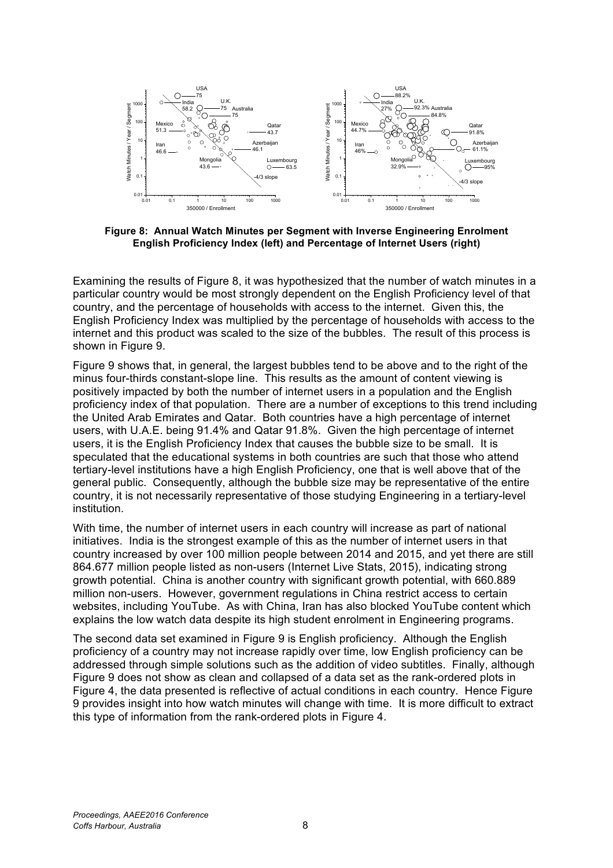

**Figure 8: Annual Watch Minutes per Segment with Inverse Engineering Enrolment English Proficiency Index (left) and Percentage of Internet Users (right)**

Examining the results of Figure 8, it was hypothesized that the number of watch minutes in a particular country would be most strongly dependent on the English Proficiency level of that country, and the percentage of households with access to the internet. Given this, the English Proficiency Index was multiplied by the percentage of households with access to the internet and this product was scaled to the size of the bubbles. The result of this process is shown in Figure 9.

Figure 9 shows that, in general, the largest bubbles tend to be above and to the right of the minus four-thirds constant-slope line. This results as the amount of content viewing is positively impacted by both the number of internet users in a population and the English proficiency index of that population. There are a number of exceptions to this trend including the United Arab Emirates and Qatar. Both countries have a high percentage of internet users, with U.A.E. being 91.4% and Qatar 91.8%. Given the high percentage of internet users, it is the English Proficiency Index that causes the bubble size to be small. It is speculated that the educational systems in both countries are such that those who attend tertiary-level institutions have a high English Proficiency, one that is well above that of the general public. Consequently, although the bubble size may be representative of the entire country, it is not necessarily representative of those studying Engineering in a tertiary-level institution.

With time, the number of internet users in each country will increase as part of national initiatives. India is the strongest example of this as the number of internet users in that country increased by over 100 million people between 2014 and 2015, and yet there are still 864.677 million people listed as non-users (Internet Live Stats, 2015), indicating strong growth potential. China is another country with significant growth potential, with 660.889 million non-users. However, government regulations in China restrict access to certain websites, including YouTube. As with China, Iran has also blocked YouTube content which explains the low watch data despite its high student enrolment in Engineering programs.

The second data set examined in Figure 9 is English proficiency. Although the English proficiency of a country may not increase rapidly over time, low English proficiency can be addressed through simple solutions such as the addition of video subtitles. Finally, although Figure 9 does not show as clean and collapsed of a data set as the rank-ordered plots in Figure 4, the data presented is reflective of actual conditions in each country. Hence Figure 9 provides insight into how watch minutes will change with time. It is more difficult to extract this type of information from the rank-ordered plots in Figure 4.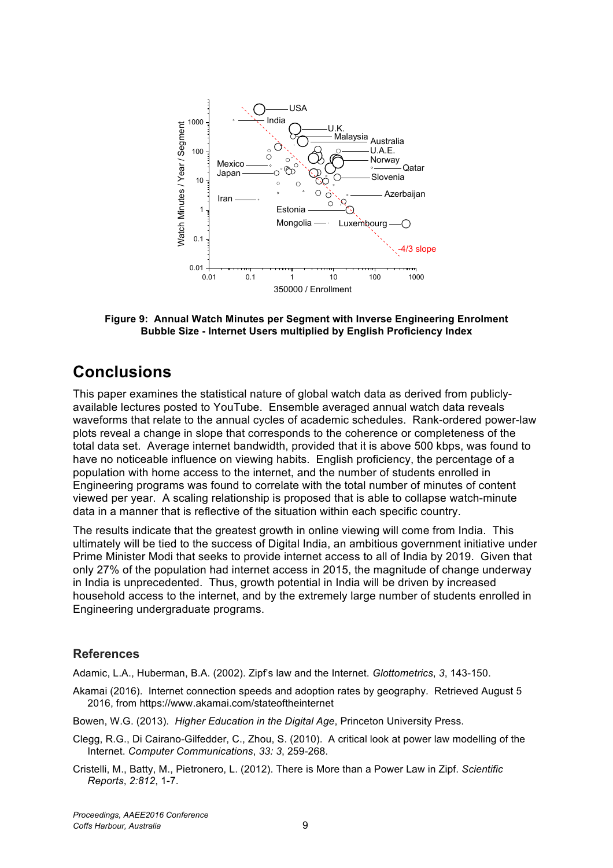

**Figure 9: Annual Watch Minutes per Segment with Inverse Engineering Enrolment Bubble Size - Internet Users multiplied by English Proficiency Index**

# **Conclusions**

This paper examines the statistical nature of global watch data as derived from publiclyavailable lectures posted to YouTube. Ensemble averaged annual watch data reveals waveforms that relate to the annual cycles of academic schedules. Rank-ordered power-law plots reveal a change in slope that corresponds to the coherence or completeness of the total data set. Average internet bandwidth, provided that it is above 500 kbps, was found to have no noticeable influence on viewing habits. English proficiency, the percentage of a population with home access to the internet, and the number of students enrolled in Engineering programs was found to correlate with the total number of minutes of content viewed per year. A scaling relationship is proposed that is able to collapse watch-minute data in a manner that is reflective of the situation within each specific country.

The results indicate that the greatest growth in online viewing will come from India. This ultimately will be tied to the success of Digital India, an ambitious government initiative under Prime Minister Modi that seeks to provide internet access to all of India by 2019. Given that only 27% of the population had internet access in 2015, the magnitude of change underway in India is unprecedented. Thus, growth potential in India will be driven by increased household access to the internet, and by the extremely large number of students enrolled in Engineering undergraduate programs.

## **References**

Adamic, L.A., Huberman, B.A. (2002). Zipf's law and the Internet. *Glottometrics*, *3*, 143-150.

- Akamai (2016). Internet connection speeds and adoption rates by geography. Retrieved August 5 2016, from https://www.akamai.com/stateoftheinternet
- Bowen, W.G. (2013). *Higher Education in the Digital Age*, Princeton University Press.
- Clegg, R.G., Di Cairano-Gilfedder, C., Zhou, S. (2010). A critical look at power law modelling of the Internet. *Computer Communications*, *33: 3*, 259-268.
- Cristelli, M., Batty, M., Pietronero, L. (2012). There is More than a Power Law in Zipf. *Scientific Reports*, *2:812*, 1-7.